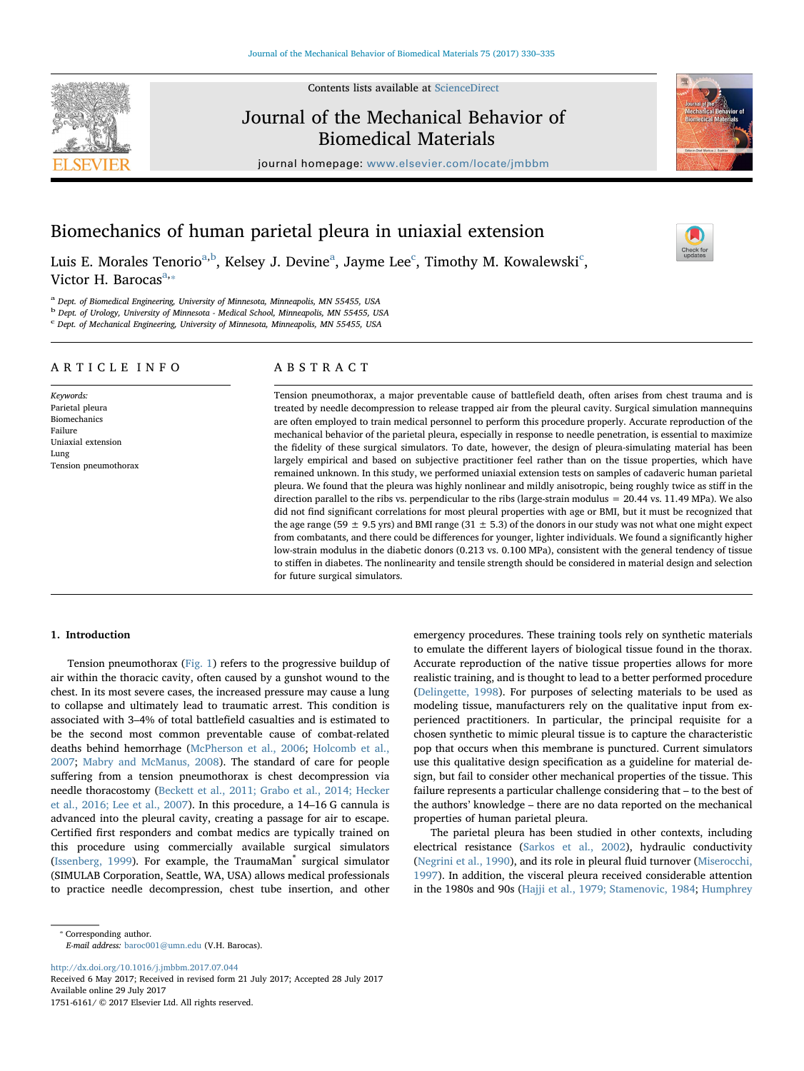Contents lists available at [ScienceDirect](http://www.sciencedirect.com/science/journal/17516161)

# Journal of the Mechanical Behavior of Biomedical Materials

journal homepage: [www.elsevier.com/locate/jmbbm](http://www.elsevier.com/locate/jmbbm)



Luis E. Morales Tenorio<sup>[a,](#page-0-0)[b](#page-0-1)</sup>, Kelsey J. Devine<sup>[a](#page-0-0)</sup>, Jayme Lee<sup>[c](#page-0-2)</sup>, Timothy M. Kowalewski<sup>c</sup>, Victor H. B[a](#page-0-0)rocas $a_{\cdot\ast}$ 

<span id="page-0-0"></span><sup>a</sup> Dept. of Biomedical Engineering, University of Minnesota, Minneapolis, MN 55455, USA

<span id="page-0-1"></span><sup>b</sup> Dept. of Urology, University of Minnesota - Medical School, Minneapolis, MN 55455, USA

<span id="page-0-2"></span><sup>c</sup> Dept. of Mechanical Engineering, University of Minnesota, Minneapolis, MN 55455, USA

## ARTICLE INFO

Keywords: Parietal pleura Biomechanics Failure Uniaxial extension Lung Tension pneumothorax

## ABSTRACT

Tension pneumothorax, a major preventable cause of battlefield death, often arises from chest trauma and is treated by needle decompression to release trapped air from the pleural cavity. Surgical simulation mannequins are often employed to train medical personnel to perform this procedure properly. Accurate reproduction of the mechanical behavior of the parietal pleura, especially in response to needle penetration, is essential to maximize the fidelity of these surgical simulators. To date, however, the design of pleura-simulating material has been largely empirical and based on subjective practitioner feel rather than on the tissue properties, which have remained unknown. In this study, we performed uniaxial extension tests on samples of cadaveric human parietal pleura. We found that the pleura was highly nonlinear and mildly anisotropic, being roughly twice as stiff in the direction parallel to the ribs vs. perpendicular to the ribs (large-strain modulus = 20.44 vs. 11.49 MPa). We also did not find significant correlations for most pleural properties with age or BMI, but it must be recognized that the age range (59  $\pm$  9.5 yrs) and BMI range (31  $\pm$  5.3) of the donors in our study was not what one might expect from combatants, and there could be differences for younger, lighter individuals. We found a significantly higher low-strain modulus in the diabetic donors (0.213 vs. 0.100 MPa), consistent with the general tendency of tissue to stiffen in diabetes. The nonlinearity and tensile strength should be considered in material design and selection for future surgical simulators.

## 1. Introduction

Tension pneumothorax [\(Fig. 1\)](#page-1-0) refers to the progressive buildup of air within the thoracic cavity, often caused by a gunshot wound to the chest. In its most severe cases, the increased pressure may cause a lung to collapse and ultimately lead to traumatic arrest. This condition is associated with 3–4% of total battlefield casualties and is estimated to be the second most common preventable cause of combat-related deaths behind hemorrhage [\(McPherson et al., 2006](#page-5-0); [Holcomb et al.,](#page-5-1) [2007;](#page-5-1) [Mabry and McManus, 2008](#page-5-2)). The standard of care for people suffering from a tension pneumothorax is chest decompression via needle thoracostomy ([Beckett et al., 2011; Grabo et al., 2014; Hecker](#page-4-0) [et al., 2016; Lee et al., 2007](#page-4-0)). In this procedure, a 14–16 G cannula is advanced into the pleural cavity, creating a passage for air to escape. Certified first responders and combat medics are typically trained on this procedure using commercially available surgical simulators ([Issenberg, 1999\)](#page-5-3). For example, the TraumaMan<sup>®</sup> surgical simulator (SIMULAB Corporation, Seattle, WA, USA) allows medical professionals to practice needle decompression, chest tube insertion, and other

<span id="page-0-3"></span>⁎ Corresponding author. E-mail address: [baroc001@umn.edu](mailto:baroc001@umn.edu) (V.H. Barocas).

<http://dx.doi.org/10.1016/j.jmbbm.2017.07.044>

Received 6 May 2017; Received in revised form 21 July 2017; Accepted 28 July 2017 Available online 29 July 2017 1751-6161/ © 2017 Elsevier Ltd. All rights reserved.

emergency procedures. These training tools rely on synthetic materials to emulate the different layers of biological tissue found in the thorax. Accurate reproduction of the native tissue properties allows for more realistic training, and is thought to lead to a better performed procedure ([Delingette, 1998](#page-4-1)). For purposes of selecting materials to be used as modeling tissue, manufacturers rely on the qualitative input from experienced practitioners. In particular, the principal requisite for a chosen synthetic to mimic pleural tissue is to capture the characteristic pop that occurs when this membrane is punctured. Current simulators use this qualitative design specification as a guideline for material design, but fail to consider other mechanical properties of the tissue. This failure represents a particular challenge considering that – to the best of the authors' knowledge – there are no data reported on the mechanical properties of human parietal pleura.

The parietal pleura has been studied in other contexts, including electrical resistance ([Sarkos et al., 2002\)](#page-5-4), hydraulic conductivity ([Negrini et al., 1990\)](#page-5-5), and its role in pleural fluid turnover [\(Miserocchi,](#page-5-6) [1997\)](#page-5-6). In addition, the visceral pleura received considerable attention in the 1980s and 90s ([Hajji et al., 1979; Stamenovic, 1984](#page-4-2); [Humphrey](#page-5-7)





[T](http://crossmark.crossref.org/dialog/?doi=10.1016/j.jmbbm.2017.07.044&domain=pdf)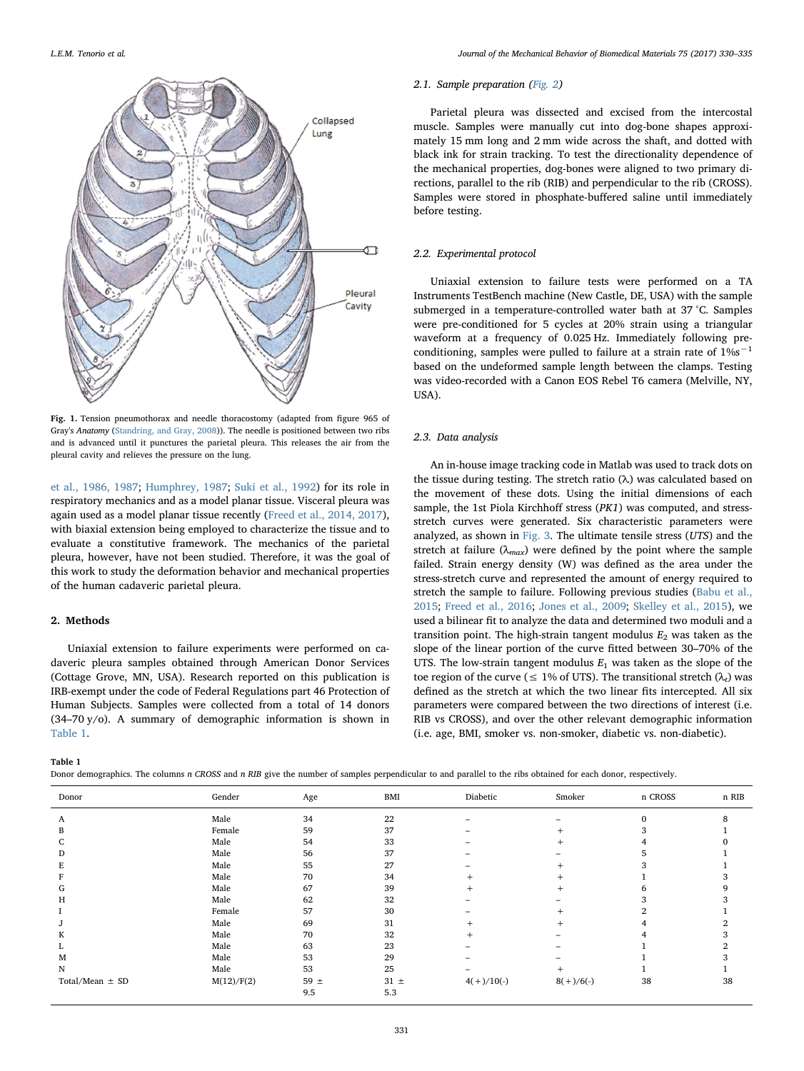<span id="page-1-0"></span>

Fig. 1. Tension pneumothorax and needle thoracostomy (adapted from figure 965 of Gray's Anatomy [\(Standring, and Gray, 2008](#page-5-12))). The needle is positioned between two ribs and is advanced until it punctures the parietal pleura. This releases the air from the pleural cavity and relieves the pressure on the lung.

[et al., 1986, 1987;](#page-5-7) [Humphrey, 1987;](#page-5-8) [Suki et al., 1992](#page-5-9)) for its role in respiratory mechanics and as a model planar tissue. Visceral pleura was again used as a model planar tissue recently ([Freed et al., 2014, 2017](#page-4-3)), with biaxial extension being employed to characterize the tissue and to evaluate a constitutive framework. The mechanics of the parietal pleura, however, have not been studied. Therefore, it was the goal of this work to study the deformation behavior and mechanical properties of the human cadaveric parietal pleura.

## 2. Methods

Uniaxial extension to failure experiments were performed on cadaveric pleura samples obtained through American Donor Services (Cottage Grove, MN, USA). Research reported on this publication is IRB-exempt under the code of Federal Regulations part 46 Protection of Human Subjects. Samples were collected from a total of 14 donors (34–70 y/o). A summary of demographic information is shown in [Table 1](#page-1-1).

### 2.1. Sample preparation ([Fig. 2\)](#page-2-0)

Parietal pleura was dissected and excised from the intercostal muscle. Samples were manually cut into dog-bone shapes approximately 15 mm long and 2 mm wide across the shaft, and dotted with black ink for strain tracking. To test the directionality dependence of the mechanical properties, dog-bones were aligned to two primary directions, parallel to the rib (RIB) and perpendicular to the rib (CROSS). Samples were stored in phosphate-buffered saline until immediately before testing.

## 2.2. Experimental protocol

Uniaxial extension to failure tests were performed on a TA Instruments TestBench machine (New Castle, DE, USA) with the sample submerged in a temperature-controlled water bath at 37 °C. Samples were pre-conditioned for 5 cycles at 20% strain using a triangular waveform at a frequency of 0.025 Hz. Immediately following preconditioning, samples were pulled to failure at a strain rate of 1%s−<sup>1</sup> based on the undeformed sample length between the clamps. Testing was video-recorded with a Canon EOS Rebel T6 camera (Melville, NY, USA).

#### 2.3. Data analysis

An in-house image tracking code in Matlab was used to track dots on the tissue during testing. The stretch ratio (λ) was calculated based on the movement of these dots. Using the initial dimensions of each sample, the 1st Piola Kirchhoff stress (PK1) was computed, and stressstretch curves were generated. Six characteristic parameters were analyzed, as shown in [Fig. 3.](#page-2-1) The ultimate tensile stress  $(UTS)$  and the stretch at failure ( $\lambda_{max}$ ) were defined by the point where the sample failed. Strain energy density (W) was defined as the area under the stress-stretch curve and represented the amount of energy required to stretch the sample to failure. Following previous studies [\(Babu et al.,](#page-4-4) [2015;](#page-4-4) [Freed et al., 2016](#page-4-5); [Jones et al., 2009](#page-5-10); [Skelley et al., 2015](#page-5-11)), we used a bilinear fit to analyze the data and determined two moduli and a transition point. The high-strain tangent modulus  $E_2$  was taken as the slope of the linear portion of the curve fitted between 30–70% of the UTS. The low-strain tangent modulus  $E_1$  was taken as the slope of the toe region of the curve ( $\leq 1\%$  of UTS). The transitional stretch ( $\lambda_t$ ) was defined as the stretch at which the two linear fits intercepted. All six parameters were compared between the two directions of interest (i.e. RIB vs CROSS), and over the other relevant demographic information (i.e. age, BMI, smoker vs. non-smoker, diabetic vs. non-diabetic).

<span id="page-1-1"></span>Table 1

Donor demographics. The columns n CROSS and n RIB give the number of samples perpendicular to and parallel to the ribs obtained for each donor, respectively.

| Gender     | Age      | <b>BMI</b> | Diabetic     | Smoker      | n CROSS  | n RIB |
|------------|----------|------------|--------------|-------------|----------|-------|
| Male       | 34       | 22         |              |             | $\Omega$ |       |
| Female     | 59       | 37         |              |             |          |       |
| Male       | 54       | 33         | -            |             |          |       |
| Male       | 56       | 37         | -            |             |          |       |
| Male       | 55       | 27         |              |             |          |       |
| Male       | 70       | 34         | $^{+}$       | ÷           |          |       |
| Male       | 67       | 39         | $^{+}$       | $+$         |          |       |
| Male       | 62       | 32         |              |             |          |       |
| Female     | 57       | 30         |              |             |          |       |
| Male       | 69       | 31         | $^{+}$       |             |          |       |
| Male       | 70       | 32         | $\div$       |             |          |       |
| Male       | 63       | 23         |              |             |          |       |
| Male       | 53       | 29         |              |             |          |       |
| Male       | 53       | 25         |              | $^{+}$      |          |       |
| M(12)/F(2) | 59 $\pm$ | $31 \pm$   | $4(+)/10(-)$ | $8(+)/6(-)$ | 38       | 38    |
|            | 9.5      | 5.3        |              |             |          |       |
|            |          |            |              |             |          |       |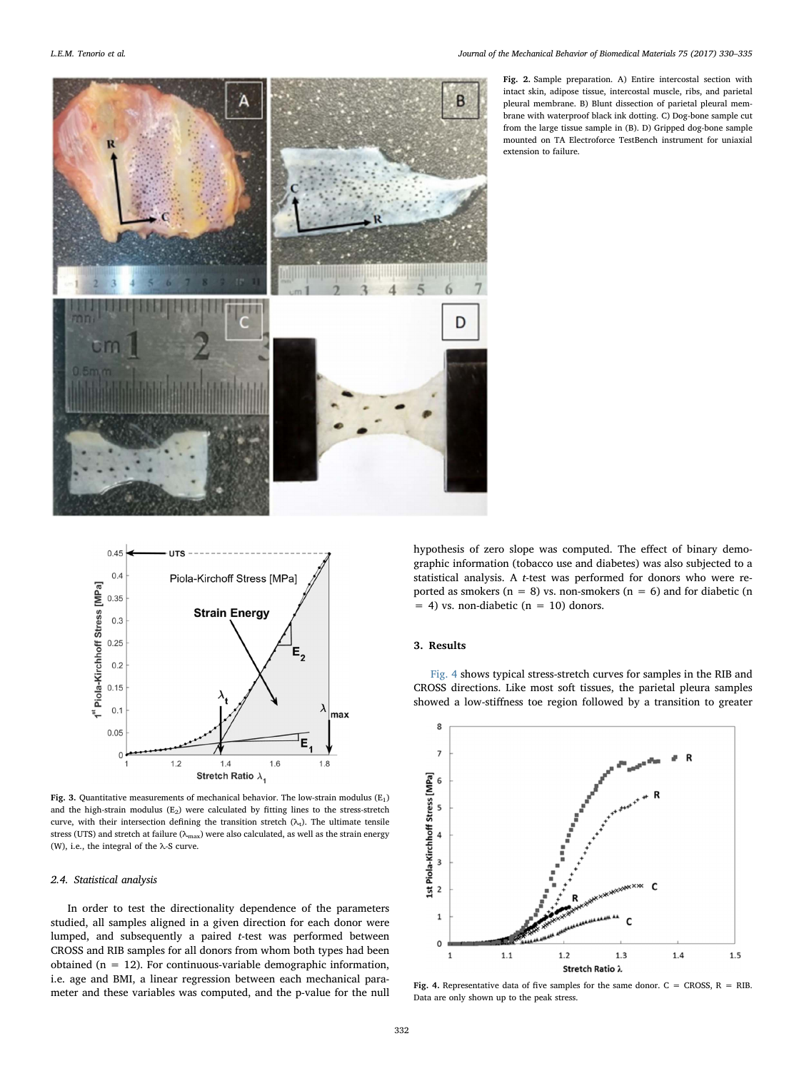<span id="page-2-0"></span>

Fig. 2. Sample preparation. A) Entire intercostal section with intact skin, adipose tissue, intercostal muscle, ribs, and parietal pleural membrane. B) Blunt dissection of parietal pleural membrane with waterproof black ink dotting. C) Dog-bone sample cut from the large tissue sample in (B). D) Gripped dog-bone sample mounted on TA Electroforce TestBench instrument for uniaxial extension to failure.

<span id="page-2-1"></span>

Fig. 3. Quantitative measurements of mechanical behavior. The low-strain modulus  $\rm(E_{1})$ and the high-strain modulus  $(E_2)$  were calculated by fitting lines to the stress-stretch curve, with their intersection defining the transition stretch  $(\lambda_t)$ . The ultimate tensile stress (UTS) and stretch at failure ( $\lambda_{\rm max}$ ) were also calculated, as well as the strain energy (W), i.e., the integral of the  $\lambda$ -S curve.

## 2.4. Statistical analysis

In order to test the directionality dependence of the parameters studied, all samples aligned in a given direction for each donor were lumped, and subsequently a paired t-test was performed between CROSS and RIB samples for all donors from whom both types had been obtained ( $n = 12$ ). For continuous-variable demographic information, i.e. age and BMI, a linear regression between each mechanical parameter and these variables was computed, and the p-value for the null hypothesis of zero slope was computed. The effect of binary demographic information (tobacco use and diabetes) was also subjected to a statistical analysis. A t-test was performed for donors who were reported as smokers ( $n = 8$ ) vs. non-smokers ( $n = 6$ ) and for diabetic ( $n = 6$ )  $= 4$ ) vs. non-diabetic (n  $= 10$ ) donors.

## 3. Results

[Fig. 4](#page-2-2) shows typical stress-stretch curves for samples in the RIB and CROSS directions. Like most soft tissues, the parietal pleura samples showed a low-stiffness toe region followed by a transition to greater

<span id="page-2-2"></span>

Fig. 4. Representative data of five samples for the same donor.  $C =$  CROSS,  $R = RIB$ . Data are only shown up to the peak stress.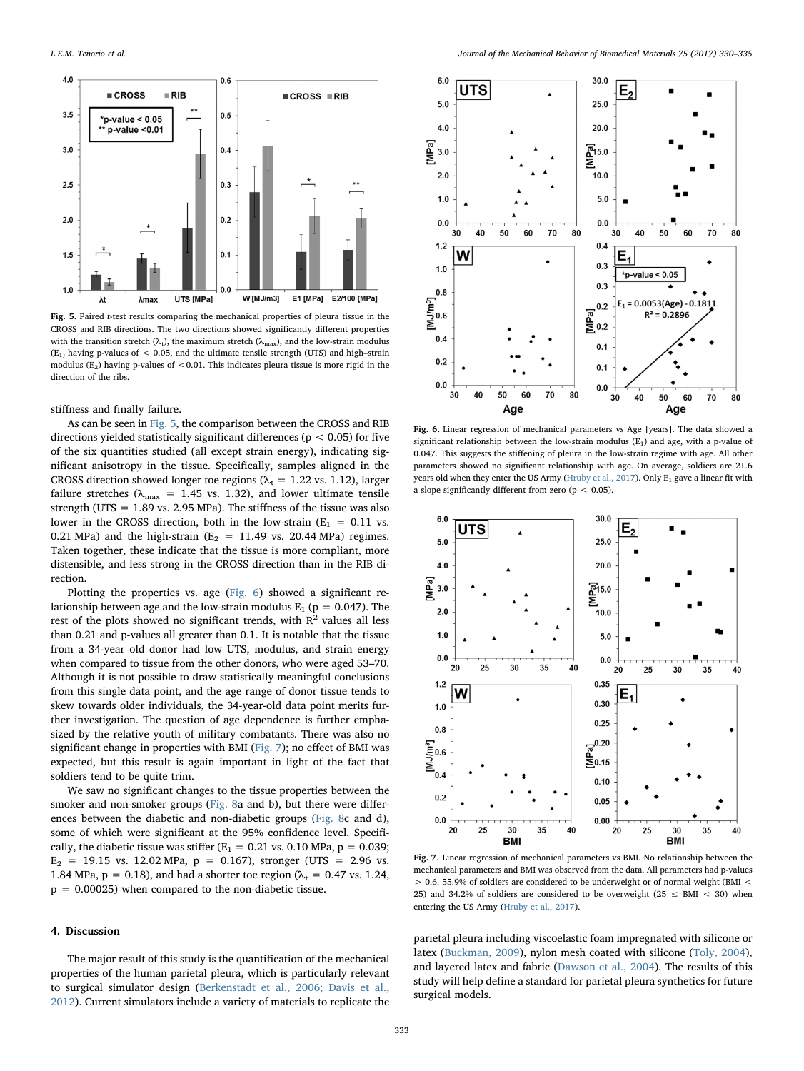<span id="page-3-0"></span>

Fig. 5. Paired t-test results comparing the mechanical properties of pleura tissue in the CROSS and RIB directions. The two directions showed significantly different properties with the transition stretch ( $\lambda$ <sub>t</sub>), the maximum stretch ( $\lambda$ <sub>max</sub>), and the low-strain modulus  $(E_1)$  having p-values of < 0.05, and the ultimate tensile strength (UTS) and high-strain modulus ( $E_2$ ) having p-values of <0.01. This indicates pleura tissue is more rigid in the direction of the ribs.

stiffness and finally failure.

As can be seen in [Fig. 5,](#page-3-0) the comparison between the CROSS and RIB directions yielded statistically significant differences ( $p < 0.05$ ) for five of the six quantities studied (all except strain energy), indicating significant anisotropy in the tissue. Specifically, samples aligned in the CROSS direction showed longer toe regions ( $\lambda_t$  = 1.22 vs. 1.12), larger failure stretches ( $\lambda_{\text{max}}$  = 1.45 vs. 1.32), and lower ultimate tensile strength (UTS = 1.89 vs. 2.95 MPa). The stiffness of the tissue was also lower in the CROSS direction, both in the low-strain ( $E_1 = 0.11$  vs. 0.21 MPa) and the high-strain ( $E_2$  = 11.49 vs. 20.44 MPa) regimes. Taken together, these indicate that the tissue is more compliant, more distensible, and less strong in the CROSS direction than in the RIB direction.

Plotting the properties vs. age [\(Fig. 6](#page-3-1)) showed a significant relationship between age and the low-strain modulus  $E_1$  (p = 0.047). The rest of the plots showed no significant trends, with  $R^2$  values all less than 0.21 and p-values all greater than 0.1. It is notable that the tissue from a 34-year old donor had low UTS, modulus, and strain energy when compared to tissue from the other donors, who were aged 53–70. Although it is not possible to draw statistically meaningful conclusions from this single data point, and the age range of donor tissue tends to skew towards older individuals, the 34-year-old data point merits further investigation. The question of age dependence is further emphasized by the relative youth of military combatants. There was also no significant change in properties with BMI ([Fig. 7\)](#page-3-2); no effect of BMI was expected, but this result is again important in light of the fact that soldiers tend to be quite trim.

We saw no significant changes to the tissue properties between the smoker and non-smoker groups ([Fig. 8](#page-4-6)a and b), but there were differences between the diabetic and non-diabetic groups [\(Fig. 8](#page-4-6)c and d), some of which were significant at the 95% confidence level. Specifically, the diabetic tissue was stiffer ( $E_1 = 0.21$  vs. 0.10 MPa,  $p = 0.039$ ;  $E_2$  = 19.15 vs. 12.02 MPa,  $p = 0.167$ ), stronger (UTS = 2.96 vs. 1.84 MPa,  $p = 0.18$ ), and had a shorter toe region ( $\lambda_t = 0.47$  vs. 1.24,  $p = 0.00025$ ) when compared to the non-diabetic tissue.

#### 4. Discussion

The major result of this study is the quantification of the mechanical properties of the human parietal pleura, which is particularly relevant to surgical simulator design ([Berkenstadt et al., 2006; Davis et al.,](#page-4-7) [2012\)](#page-4-7). Current simulators include a variety of materials to replicate the

<span id="page-3-1"></span>

Fig. 6. Linear regression of mechanical parameters vs Age [years]. The data showed a significant relationship between the low-strain modulus  $(E_1)$  and age, with a p-value of 0.047. This suggests the stiffening of pleura in the low-strain regime with age. All other parameters showed no significant relationship with age. On average, soldiers are 21.6 years old when they enter the US Army [\(Hruby et al., 2017\)](#page-5-14). Only  $E_1$  gave a linear fit with a slope significantly different from zero ( $p < 0.05$ ).

<span id="page-3-2"></span>

Fig. 7. Linear regression of mechanical parameters vs BMI. No relationship between the mechanical parameters and BMI was observed from the data. All parameters had p-values > 0.6. 55.9% of soldiers are considered to be underweight or of normal weight (BMI < 25) and 34.2% of soldiers are considered to be overweight (25  $\leq$  BMI  $<$  30) when entering the US Army [\(Hruby et al., 2017\)](#page-5-14).

parietal pleura including viscoelastic foam impregnated with silicone or latex [\(Buckman, 2009\)](#page-4-8), nylon mesh coated with silicone ([Toly, 2004](#page-5-13)), and layered latex and fabric [\(Dawson et al., 2004](#page-4-9)). The results of this study will help define a standard for parietal pleura synthetics for future surgical models.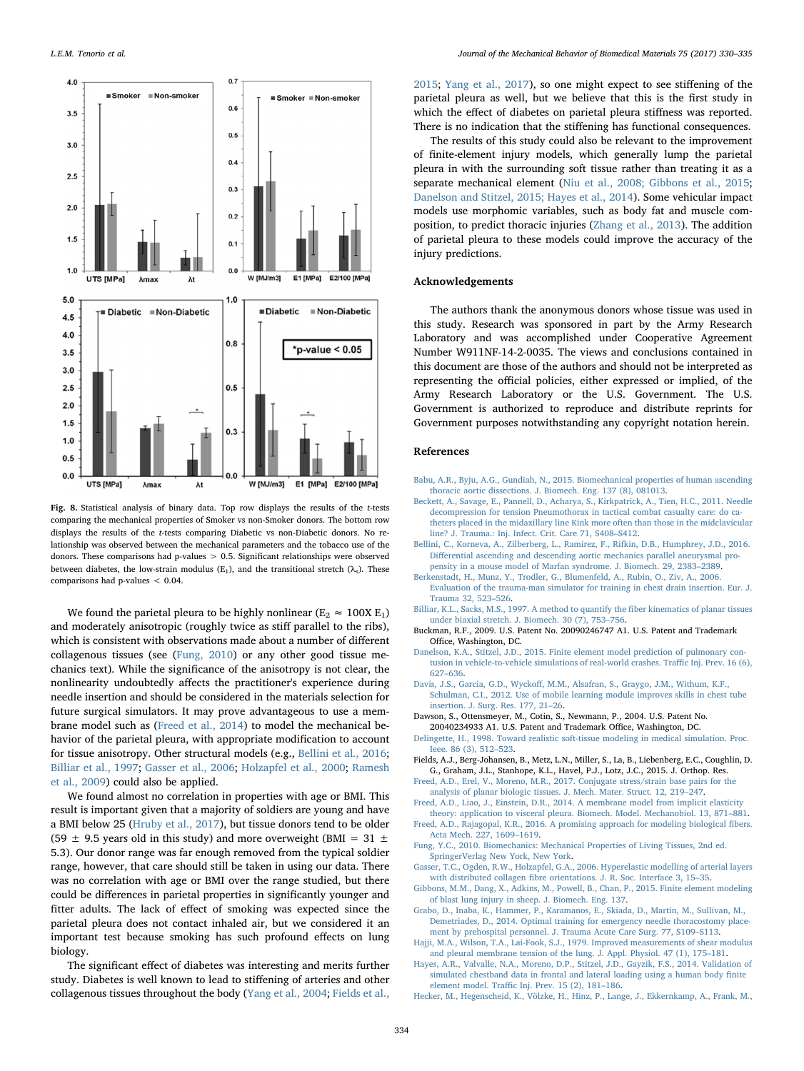<span id="page-4-6"></span>

Fig. 8. Statistical analysis of binary data. Top row displays the results of the t-tests comparing the mechanical properties of Smoker vs non-Smoker donors. The bottom row displays the results of the t-tests comparing Diabetic vs non-Diabetic donors. No relationship was observed between the mechanical parameters and the tobacco use of the donors. These comparisons had p-values > 0.5. Significant relationships were observed between diabetes, the low-strain modulus (E<sub>1</sub>), and the transitional stretch ( $\lambda$ <sub>t</sub>). These comparisons had p-values < 0.04.

We found the parietal pleura to be highly nonlinear ( $E_2 \approx 100X E_1$ ) and moderately anisotropic (roughly twice as stiff parallel to the ribs), which is consistent with observations made about a number of different collagenous tissues (see ([Fung, 2010\)](#page-4-10) or any other good tissue mechanics text). While the significance of the anisotropy is not clear, the nonlinearity undoubtedly affects the practitioner's experience during needle insertion and should be considered in the materials selection for future surgical simulators. It may prove advantageous to use a membrane model such as ([Freed et al., 2014\)](#page-4-3) to model the mechanical behavior of the parietal pleura, with appropriate modification to account for tissue anisotropy. Other structural models (e.g., [Bellini et al., 2016](#page-4-11); [Billiar et al., 1997;](#page-4-12) [Gasser et al., 2006;](#page-4-13) [Holzapfel et al., 2000](#page-5-15); [Ramesh](#page-5-16) [et al., 2009](#page-5-16)) could also be applied.

We found almost no correlation in properties with age or BMI. This result is important given that a majority of soldiers are young and have a BMI below 25 [\(Hruby et al., 2017\)](#page-5-14), but tissue donors tend to be older (59  $\pm$  9.5 years old in this study) and more overweight (BMI = 31  $\pm$ 5.3). Our donor range was far enough removed from the typical soldier range, however, that care should still be taken in using our data. There was no correlation with age or BMI over the range studied, but there could be differences in parietal properties in significantly younger and fitter adults. The lack of effect of smoking was expected since the parietal pleura does not contact inhaled air, but we considered it an important test because smoking has such profound effects on lung biology.

The significant effect of diabetes was interesting and merits further study. Diabetes is well known to lead to stiffening of arteries and other collagenous tissues throughout the body [\(Yang et al., 2004](#page-5-17); [Fields et al.,](#page-4-14)

[2015;](#page-4-14) [Yang et al., 2017](#page-5-18)), so one might expect to see stiffening of the parietal pleura as well, but we believe that this is the first study in which the effect of diabetes on parietal pleura stiffness was reported. There is no indication that the stiffening has functional consequences.

The results of this study could also be relevant to the improvement of finite-element injury models, which generally lump the parietal pleura in with the surrounding soft tissue rather than treating it as a separate mechanical element [\(Niu et al., 2008; Gibbons et al., 2015](#page-5-19); [Danelson and Stitzel, 2015; Hayes et al., 2014](#page-4-15)). Some vehicular impact models use morphomic variables, such as body fat and muscle composition, to predict thoracic injuries ([Zhang et al., 2013\)](#page-5-20). The addition of parietal pleura to these models could improve the accuracy of the injury predictions.

## Acknowledgements

The authors thank the anonymous donors whose tissue was used in this study. Research was sponsored in part by the Army Research Laboratory and was accomplished under Cooperative Agreement Number W911NF-14-2-0035. The views and conclusions contained in this document are those of the authors and should not be interpreted as representing the official policies, either expressed or implied, of the Army Research Laboratory or the U.S. Government. The U.S. Government is authorized to reproduce and distribute reprints for Government purposes notwithstanding any copyright notation herein.

#### References

- <span id="page-4-4"></span>[Babu, A.R., Byju, A.G., Gundiah, N., 2015. Biomechanical properties of human ascending](http://refhub.elsevier.com/S1751-6161(17)30330-2/sbref1) [thoracic aortic dissections. J. Biomech. Eng. 137 \(8\), 081013.](http://refhub.elsevier.com/S1751-6161(17)30330-2/sbref1)
- <span id="page-4-0"></span>[Beckett, A., Savage, E., Pannell, D., Acharya, S., Kirkpatrick, A., Tien, H.C., 2011. Needle](http://refhub.elsevier.com/S1751-6161(17)30330-2/sbref2) [decompression for tension Pneumothorax in tactical combat casualty care: do ca](http://refhub.elsevier.com/S1751-6161(17)30330-2/sbref2)[theters placed in the midaxillary line Kink more often than those in the midclavicular](http://refhub.elsevier.com/S1751-6161(17)30330-2/sbref2) [line? J. Trauma.: Inj. Infect. Crit. Care 71, S408](http://refhub.elsevier.com/S1751-6161(17)30330-2/sbref2)–S412.
- <span id="page-4-11"></span>[Bellini, C., Korneva, A., Zilberberg, L., Ramirez, F., Rifkin, D.B., Humphrey, J.D., 2016.](http://refhub.elsevier.com/S1751-6161(17)30330-2/sbref3) Diff[erential ascending and descending aortic mechanics parallel aneurysmal pro](http://refhub.elsevier.com/S1751-6161(17)30330-2/sbref3)[pensity in a mouse model of Marfan syndrome. J. Biomech. 29, 2383](http://refhub.elsevier.com/S1751-6161(17)30330-2/sbref3)–2389.
- <span id="page-4-7"></span>[Berkenstadt, H., Munz, Y., Trodler, G., Blumenfeld, A., Rubin, O., Ziv, A., 2006.](http://refhub.elsevier.com/S1751-6161(17)30330-2/sbref4)
- [Evaluation of the trauma-man simulator for training in chest drain insertion. Eur. J.](http://refhub.elsevier.com/S1751-6161(17)30330-2/sbref4) [Trauma 32, 523](http://refhub.elsevier.com/S1751-6161(17)30330-2/sbref4)–526.
- <span id="page-4-12"></span>[Billiar, K.L., Sacks, M.S., 1997. A method to quantify the](http://refhub.elsevier.com/S1751-6161(17)30330-2/sbref5) fiber kinematics of planar tissues [under biaxial stretch. J. Biomech. 30 \(7\), 753](http://refhub.elsevier.com/S1751-6161(17)30330-2/sbref5)–756.
- <span id="page-4-8"></span>Buckman, R.F., 2009. U.S. Patent No. 20090246747 A1. U.S. Patent and Trademark Office, Washington, DC.
- <span id="page-4-15"></span>[Danelson, K.A., Stitzel, J.D., 2015. Finite element model prediction of pulmonary con](http://refhub.elsevier.com/S1751-6161(17)30330-2/sbref6)[tusion in vehicle-to-vehicle simulations of real-world crashes. Tra](http://refhub.elsevier.com/S1751-6161(17)30330-2/sbref6)ffic Inj. Prev. 16 (6), 627–[636](http://refhub.elsevier.com/S1751-6161(17)30330-2/sbref6).
- Davis, J.S., Garcia, G.D., Wyckoff[, M.M., Alsafran, S., Graygo, J.M., Withum, K.F.,](http://refhub.elsevier.com/S1751-6161(17)30330-2/sbref7) [Schulman, C.I., 2012. Use of mobile learning module improves skills in chest tube](http://refhub.elsevier.com/S1751-6161(17)30330-2/sbref7) [insertion. J. Surg. Res. 177, 21](http://refhub.elsevier.com/S1751-6161(17)30330-2/sbref7)–26.
- <span id="page-4-9"></span>Dawson, S., Ottensmeyer, M., Cotin, S., Newmann, P., 2004. U.S. Patent No. 20040234933 A1. U.S. Patent and Trademark Office, Washington, DC.
- <span id="page-4-1"></span>[Delingette, H., 1998. Toward realistic soft-tissue modeling in medical simulation. Proc.](http://refhub.elsevier.com/S1751-6161(17)30330-2/sbref8) [Ieee. 86 \(3\), 512](http://refhub.elsevier.com/S1751-6161(17)30330-2/sbref8)–523.
- <span id="page-4-14"></span>Fields, A.J., Berg-Johansen, B., Metz, L.N., Miller, S., La, B., Liebenberg, E.C., Coughlin, D. G., Graham, J.L., Stanhope, K.L., Havel, P.J., Lotz, J.C., 2015. J. Orthop. Res.
- [Freed, A.D., Erel, V., Moreno, M.R., 2017. Conjugate stress/strain base pairs for the](http://refhub.elsevier.com/S1751-6161(17)30330-2/sbref9) [analysis of planar biologic tissues. J. Mech. Mater. Struct. 12, 219](http://refhub.elsevier.com/S1751-6161(17)30330-2/sbref9)–247.
- <span id="page-4-3"></span>[Freed, A.D., Liao, J., Einstein, D.R., 2014. A membrane model from implicit elasticity](http://refhub.elsevier.com/S1751-6161(17)30330-2/sbref10) [theory: application to visceral pleura. Biomech. Model. Mechanobiol. 13, 871](http://refhub.elsevier.com/S1751-6161(17)30330-2/sbref10)–881.
- <span id="page-4-5"></span>[Freed, A.D., Rajagopal, K.R., 2016. A promising approach for modeling biological](http://refhub.elsevier.com/S1751-6161(17)30330-2/sbref11) fibers. [Acta Mech. 227, 1609](http://refhub.elsevier.com/S1751-6161(17)30330-2/sbref11)–1619.
- <span id="page-4-10"></span>[Fung, Y.C., 2010. Biomechanics: Mechanical Properties of Living Tissues, 2nd ed.](http://refhub.elsevier.com/S1751-6161(17)30330-2/sbref12) [SpringerVerlag New York, New York](http://refhub.elsevier.com/S1751-6161(17)30330-2/sbref12).
- <span id="page-4-13"></span>[Gasser, T.C., Ogden, R.W., Holzapfel, G.A., 2006. Hyperelastic modelling of arterial layers](http://refhub.elsevier.com/S1751-6161(17)30330-2/sbref13) with distributed collagen fi[bre orientations. J. R. Soc. Interface 3, 15](http://refhub.elsevier.com/S1751-6161(17)30330-2/sbref13)–35.
- [Gibbons, M.M., Dang, X., Adkins, M., Powell, B., Chan, P., 2015. Finite element modeling](http://refhub.elsevier.com/S1751-6161(17)30330-2/sbref14) [of blast lung injury in sheep. J. Biomech. Eng. 137.](http://refhub.elsevier.com/S1751-6161(17)30330-2/sbref14)
- [Grabo, D., Inaba, K., Hammer, P., Karamanos, E., Skiada, D., Martin, M., Sullivan, M.,](http://refhub.elsevier.com/S1751-6161(17)30330-2/sbref15) [Demetriades, D., 2014. Optimal training for emergency needle thoracostomy place](http://refhub.elsevier.com/S1751-6161(17)30330-2/sbref15)[ment by prehospital personnel. J. Trauma Acute Care Surg. 77, S109](http://refhub.elsevier.com/S1751-6161(17)30330-2/sbref15)–S113.
- <span id="page-4-2"></span>[Hajji, M.A., Wilson, T.A., Lai-Fook, S.J., 1979. Improved measurements of shear modulus](http://refhub.elsevier.com/S1751-6161(17)30330-2/sbref16) [and pleural membrane tension of the lung. J. Appl. Physiol. 47 \(1\), 175](http://refhub.elsevier.com/S1751-6161(17)30330-2/sbref16)–181.
- Hayes, [A.R., Valvalle, N.A., Moreno, D.P., Stitzel, J.D., Gayzik, F.S., 2014. Validation of](http://refhub.elsevier.com/S1751-6161(17)30330-2/sbref17) [simulated chestband data in frontal and lateral loading using a human body](http://refhub.elsevier.com/S1751-6161(17)30330-2/sbref17) finite element model. Traffi[c Inj. Prev. 15 \(2\), 181](http://refhub.elsevier.com/S1751-6161(17)30330-2/sbref17)–186.
- [Hecker, M., Hegenscheid, K., Völzke, H., Hinz, P., Lange, J., Ekkernkamp, A., Frank, M.,](http://refhub.elsevier.com/S1751-6161(17)30330-2/sbref18)